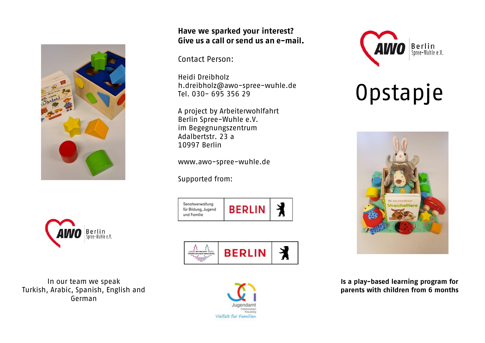



Contact Person:

Heidi Dreibholz [h.dreibholz@awo-spree-wuhle.de](mailto:h.dreibholz@awo-spree-wuhle.de) Tel. 030- 695 356 29

A project by Arbeiterwohlfahrt Berlin Spree-Wuhle e.V. im Begegnungszentrum Adalbertstr. 23 a 10997 Berlin

www.awo-spree-wuhle.de

Supported from:

| Senatsverwaltung<br>für Bildung, Jugend<br>und Familie | <b>BERLIN</b> |  |
|--------------------------------------------------------|---------------|--|





# Opstapje



**Is a play-based learning program for parents with children from 6 months**



In our team we speak Turkish, Arabic, Spanish, English and German